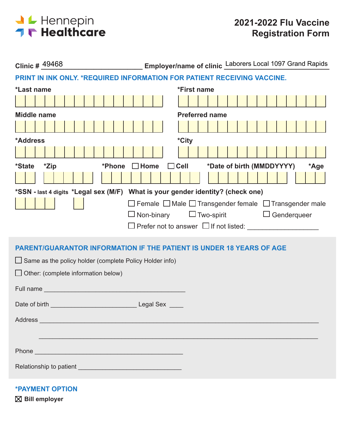

| Employer/name of clinic Laborers Local 1097 Grand Rapids<br>Clinic # 49468                                                                                                                                                           |
|--------------------------------------------------------------------------------------------------------------------------------------------------------------------------------------------------------------------------------------|
| PRINT IN INK ONLY. *REQUIRED INFORMATION FOR PATIENT RECEIVING VACCINE.                                                                                                                                                              |
| *First name<br>*Last name                                                                                                                                                                                                            |
|                                                                                                                                                                                                                                      |
| <b>Preferred name</b><br><b>Middle name</b>                                                                                                                                                                                          |
|                                                                                                                                                                                                                                      |
| *City<br>*Address                                                                                                                                                                                                                    |
|                                                                                                                                                                                                                                      |
| $\Box$ Cell<br>*Date of birth (MMDDYYYY)<br>*Zip<br>$\Box$ Home<br>*Phone<br><i>*State</i><br>*Age                                                                                                                                   |
|                                                                                                                                                                                                                                      |
| *SSN - last 4 digits *Legal sex (M/F) What is your gender identity? (check one)                                                                                                                                                      |
| □ Female □ Male □ Transgender female □ Transgender male                                                                                                                                                                              |
| $\square$ Non-binary<br>$\Box$ Two-spirit $\Box$ Genderqueer                                                                                                                                                                         |
|                                                                                                                                                                                                                                      |
| <b>PARENT/GUARANTOR INFORMATION IF THE PATIENT IS UNDER 18 YEARS OF AGE</b>                                                                                                                                                          |
| $\Box$ Same as the policy holder (complete Policy Holder info)                                                                                                                                                                       |
| $\Box$ Other: (complete information below)                                                                                                                                                                                           |
|                                                                                                                                                                                                                                      |
|                                                                                                                                                                                                                                      |
|                                                                                                                                                                                                                                      |
| Address and the contract of the contract of the contract of the contract of the contract of the contract of the contract of the contract of the contract of the contract of the contract of the contract of the contract of th       |
|                                                                                                                                                                                                                                      |
|                                                                                                                                                                                                                                      |
| Phone <b>Contract Contract Contract Contract Contract Contract Contract Contract Contract Contract Contract Contract Contract Contract Contract Contract Contract Contract Contract Contract Contract Contract Contract Contract</b> |
|                                                                                                                                                                                                                                      |
|                                                                                                                                                                                                                                      |

**\*PAYMENT OPTION**

**Bill employer**